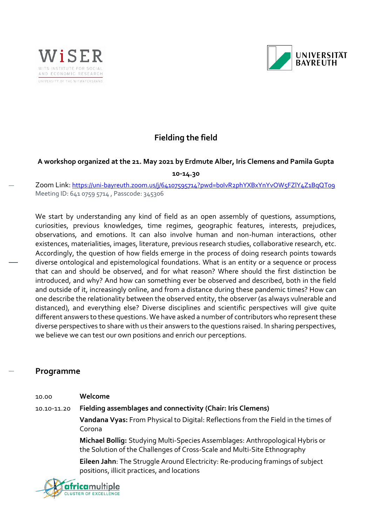



# **Fielding the field**

# **A workshop organized at the 21. May 2021 by Erdmute Alber, Iris Clemens and Pamila Gupta**

**10-14.30**

Zoom Link: <https://uni-bayreuth.zoom.us/j/64107595714?pwd=b0IvR2phYXBxYnYvOW5FZlY4Z1BqQT09> Meeting ID: 641 0759 5714 , Passcode: 345306

We start by understanding any kind of field as an open assembly of questions, assumptions, curiosities, previous knowledges, time regimes, geographic features, interests, prejudices, observations, and emotions. It can also involve human and non-human interactions, other existences, materialities, images, literature, previous research studies, collaborative research, etc. Accordingly, the question of how fields emerge in the process of doing research points towards diverse ontological and epistemological foundations. What is an entity or a sequence or process that can and should be observed, and for what reason? Where should the first distinction be introduced, and why? And how can something ever be observed and described, both in the field and outside of it, increasingly online, and from a distance during these pandemic times? How can one describe the relationality between the observed entity, the observer (as always vulnerable and distanced), and everything else? Diverse disciplines and scientific perspectives will give quite different answers to these questions. We have asked a number of contributors who represent these diverse perspectives to share with us their answers to the questions raised. In sharing perspectives, we believe we can test our own positions and enrich our perceptions.

# **Programme**

| 10.00       | Welcome                                                                                                                                                   |
|-------------|-----------------------------------------------------------------------------------------------------------------------------------------------------------|
| 10.10-11.20 | Fielding assemblages and connectivity (Chair: Iris Clemens)                                                                                               |
|             | Vandana Vyas: From Physical to Digital: Reflections from the Field in the times of<br>Corona                                                              |
|             | Michael Bollig: Studying Multi-Species Assemblages: Anthropological Hybris or<br>the Solution of the Challenges of Cross-Scale and Multi-Site Ethnography |
|             |                                                                                                                                                           |

**Eileen Jahn**: The Struggle Around Electricity: Re-producing framings of subject positions, illicit practices, and locations

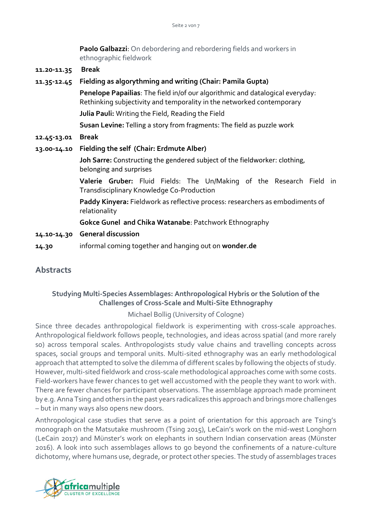**Paolo Galbazzi**: On debordering and rebordering fields and workers in ethnographic fieldwork

**11.20-11.35 Break**

| 11.35-12.45 | Fielding as algorythming and writing (Chair: Pamila Gupta)                                                                                             |
|-------------|--------------------------------------------------------------------------------------------------------------------------------------------------------|
|             | Penelope Papailias: The field in/of our algorithmic and datalogical everyday:<br>Rethinking subjectivity and temporality in the networked contemporary |
|             | Julia Pauli: Writing the Field, Reading the Field                                                                                                      |
|             | Susan Levine: Telling a story from fragments: The field as puzzle work                                                                                 |
| 12.45-13.01 | <b>Break</b>                                                                                                                                           |
| 13.00-14.10 | Fielding the self (Chair: Erdmute Alber)                                                                                                               |
|             | Joh Sarre: Constructing the gendered subject of the fieldworker: clothing,<br>belonging and surprises                                                  |
|             | Valerie Gruber: Fluid Fields: The Un/Making of the Research Field in<br>Transdisciplinary Knowledge Co-Production                                      |
|             | Paddy Kinyera: Fieldwork as reflective process: researchers as embodiments of<br>relationality                                                         |
|             | <b>Gokce Gunel and Chika Watanabe: Patchwork Ethnography</b>                                                                                           |
| 14.10-14.30 | <b>General discussion</b>                                                                                                                              |
|             |                                                                                                                                                        |

# **14.30** informal coming together and hanging out on **wonder.de**

# **Abstracts**

# **Studying Multi-Species Assemblages: Anthropological Hybris or the Solution of the Challenges of Cross-Scale and Multi-Site Ethnography**

#### Michael Bollig (University of Cologne)

Since three decades anthropological fieldwork is experimenting with cross-scale approaches. Anthropological fieldwork follows people, technologies, and ideas across spatial (and more rarely so) across temporal scales. Anthropologists study value chains and travelling concepts across spaces, social groups and temporal units. Multi-sited ethnography was an early methodological approach that attempted to solve the dilemma of different scales by following the objects of study. However, multi-sited fieldwork and cross-scale methodological approaches come with some costs. Field-workers have fewer chances to get well accustomed with the people they want to work with. There are fewer chances for participant observations. The assemblage approach made prominent by e.g. Anna Tsing and others in the past years radicalizes this approach and brings more challenges – but in many ways also opens new doors.

Anthropological case studies that serve as a point of orientation for this approach are Tsing's monograph on the Matsutake mushroom (Tsing 2015), LeCain's work on the mid-west Longhorn (LeCain 2017) and Münster's work on elephants in southern Indian conservation areas (Münster 2016). A look into such assemblages allows to go beyond the confinements of a nature-culture dichotomy, where humans use, degrade, or protect other species. The study of assemblages traces

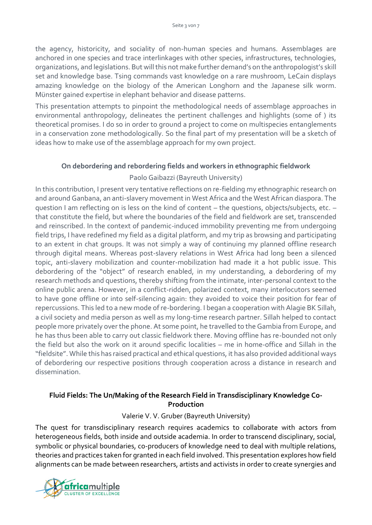the agency, historicity, and sociality of non-human species and humans. Assemblages are anchored in one species and trace interlinkages with other species, infrastructures, technologies, organizations, and legislations. But will this not make further demand's on the anthropologist's skill set and knowledge base. Tsing commands vast knowledge on a rare mushroom, LeCain displays amazing knowledge on the biology of the American Longhorn and the Japanese silk worm. Münster gained expertise in elephant behavior and disease patterns.

This presentation attempts to pinpoint the methodological needs of assemblage approaches in environmental anthropology, delineates the pertinent challenges and highlights (some of ) its theoretical promises. I do so in order to ground a project to come on multispecies entanglements in a conservation zone methodologically. So the final part of my presentation will be a sketch of ideas how to make use of the assemblage approach for my own project.

# **On debordering and rebordering fields and workers in ethnographic fieldwork**

# Paolo Gaibazzi (Bayreuth University)

In this contribution, I present very tentative reflections on re-fielding my ethnographic research on and around Ganbana, an anti-slavery movement in West Africa and the West African diaspora. The question I am reflecting on is less on the kind of content – the questions, objects/subjects, etc. – that constitute the field, but where the boundaries of the field and fieldwork are set, transcended and reinscribed. In the context of pandemic-induced immobility preventing me from undergoing field trips, I have redefined my field as a digital platform, and my trip as browsing and participating to an extent in chat groups. It was not simply a way of continuing my planned offline research through digital means. Whereas post-slavery relations in West Africa had long been a silenced topic, anti-slavery mobilization and counter-mobilization had made it a hot public issue. This debordering of the "object" of research enabled, in my understanding, a debordering of my research methods and questions, thereby shifting from the intimate, inter-personal context to the online public arena. However, in a conflict-ridden, polarized context, many interlocutors seemed to have gone offline or into self-silencing again: they avoided to voice their position for fear of repercussions. This led to a new mode of re-bordering. I began a cooperation with Alagie BK Sillah, a civil society and media person as well as my long-time research partner. Sillah helped to contact people more privately over the phone. At some point, he travelled to the Gambia from Europe, and he has thus been able to carry out classic fieldwork there. Moving offline has re-bounded not only the field but also the work on it around specific localities – me in home-office and Sillah in the "fieldsite". While this has raised practical and ethical questions, it has also provided additional ways of debordering our respective positions through cooperation across a distance in research and dissemination.

# **Fluid Fields: The Un/Making of the Research Field in Transdisciplinary Knowledge Co-Production**

# Valerie V. V. Gruber (Bayreuth University)

The quest for transdisciplinary research requires academics to collaborate with actors from heterogeneous fields, both inside and outside academia. In order to transcend disciplinary, social, symbolic or physical boundaries, co-producers of knowledge need to deal with multiple relations, theories and practices taken for granted in each field involved. This presentation explores how field alignments can be made between researchers, artists and activists in order to create synergies and

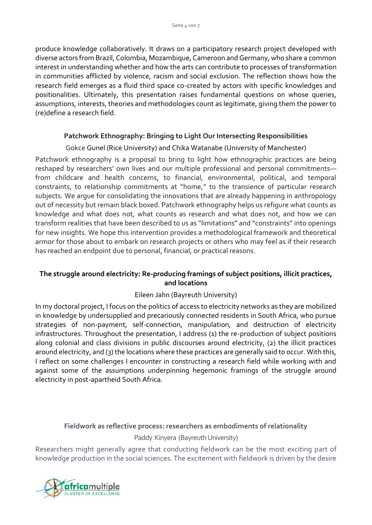produce knowledge collaboratively. It draws on a participatory research project developed with diverse actors from Brazil, Colombia, Mozambique, Cameroon and Germany, who share a common interest in understanding whether and how the arts can contribute to processes of transformation in communities afflicted by violence, racism and social exclusion. The reflection shows how the research field emerges as a fluid third space co-created by actors with specific knowledges and positionalities. Ultimately, this presentation raises fundamental questions on whose queries, assumptions, interests, theories and methodologies count as legitimate, giving them the power to (re)define a research field.

# **Patchwork Ethnography: Bringing to Light Our Intersecting Responsibilities**

# Gokce Gunel (Rice University) and Chika Watanabe (University of Manchester)

Patchwork ethnography is a proposal to bring to light how ethnographic practices are being reshaped by researchers' own lives and our multiple professional and personal commitments from childcare and health concerns, to financial, environmental, political, and temporal constraints, to relationship commitments at "home," to the transience of particular research subjects. We argue for consolidating the innovations that are already happening in anthropology out of necessity but remain black boxed. Patchwork ethnography helps us refigure what counts as knowledge and what does not, what counts as research and what does not, and how we can transform realities that have been described to us as "limitations" and "constraints" into openings for new insights. We hope this intervention provides a methodological framework and theoretical armor for those about to embark on research projects or others who may feel as if their research has reached an endpoint due to personal, financial, or practical reasons.

# **The struggle around electricity: Re-producing framings of subject positions, illicit practices, and locations**

#### Eileen Jahn (Bayreuth University)

In my doctoral project, I focus on the politics of access to electricity networks as they are mobilized in knowledge by undersupplied and precariously connected residents in South Africa, who pursue strategies of non-payment, self-connection, manipulation, and destruction of electricity infrastructures. Throughout the presentation, I address (1) the re-production of subject positions along colonial and class divisions in public discourses around electricity, (2) the illicit practices around electricity, and (3) the locations where these practices are generally said to occur. With this, I reflect on some challenges I encounter in constructing a research field while working with and against some of the assumptions underpinning hegemonic framings of the struggle around electricity in post-apartheid South Africa.

#### **Fieldwork as reflective process: researchers as embodiments of relationality**

#### Paddy Kinyera (Bayreuth University)

Researchers might generally agree that conducting fieldwork can be the most exciting part of knowledge production in the social sciences. The excitement with fieldwork is driven by the desire

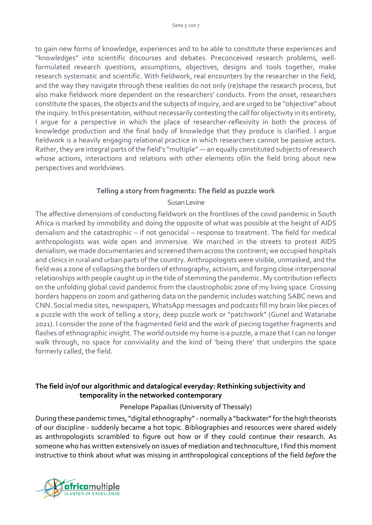to gain new forms of knowledge, experiences and to be able to constitute these experiences and "knowledges" into scientific discourses and debates. Preconceived research problems, wellformulated research questions, assumptions, objectives, designs and tools together, make research systematic and scientific. With fieldwork, real encounters by the researcher in the field, and the way they navigate through these realities do not only (re)shape the research process, but also make fieldwork more dependent on the researchers' conducts. From the onset, researchers constitute the spaces, the objects and the subjects of inquiry, and are urged to be "objective" about the inquiry. In this presentation, without necessarily contesting the call for objectivity in its entirety, I argue for a perspective in which the place of researcher-reflexivity in both the process of knowledge production and the final body of knowledge that they produce is clarified. I argue fieldwork is a heavily engaging relational practice in which researchers cannot be passive actors. Rather, they are integral parts of the field's "multiple" — an equally constituted subjects of research whose actions, interactions and relations with other elements of/in the field bring about new perspectives and worldviews.

#### **Telling a story from fragments: The field as puzzle work**

#### Susan Levine

The affective dimensions of conducting fieldwork on the frontlines of the covid pandemic in South Africa is marked by immobility and doing the opposite of what was possible at the height of AIDS denialism and the catastrophic – if not genocidal – response to treatment. The field for medical anthropologists was wide open and immersive. We marched in the streets to protest AIDS denialism; we made documentaries and screened them across the continent; we occupied hospitals and clinics in rural and urban parts of the country. Anthropologists were visible, unmasked, and the field was a zone of collapsing the borders of ethnography, activism, and forging close interpersonal relationships with people caught up in the tide of stemming the pandemic. My contribution reflects on the unfolding global covid pandemic from the claustrophobic zone of my living space. Crossing borders happens on zoom and gathering data on the pandemic includes watching SABC news and CNN. Social media sites, newspapers, WhatsApp messages and podcasts fill my brain like pieces of a puzzle with the work of telling a story, deep puzzle work or "patchwork" (Gunel and Watanabe 2021). I consider the zone of the fragmented field and the work of piecing together fragments and flashes of ethnographic insight. The world outside my home is a puzzle, a maze that I can no longer walk through, no space for conviviality and the kind of 'being there' that underpins the space formerly called, the field.

# **The field in/of our algorithmic and datalogical everyday: Rethinking subjectivity and temporality in the networked contemporary**

# Penelope Papailias (University of Thessaly)

During these pandemic times, "digital ethnography" - normally a "backwater" for the high theorists of our discipline - suddenly became a hot topic. Bibliographies and resources were shared widely as anthropologists scrambled to figure out how or if they could continue their research. As someone who has written extensively on issues of mediation and technoculture, I find this moment instructive to think about what was missing in anthropological conceptions of the field *before* the

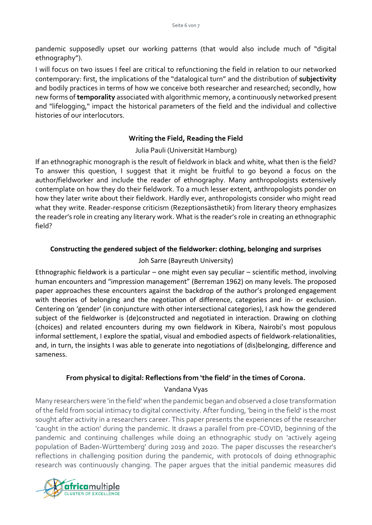pandemic supposedly upset our working patterns (that would also include much of "digital ethnography").

I will focus on two issues I feel are critical to refunctioning the field in relation to our networked contemporary: first, the implications of the "datalogical turn" and the distribution of **subjectivity** and bodily practices in terms of how we conceive both researcher and researched; secondly, how new forms of**temporality** associated with algorithmic memory, a continuously networked present and "lifelogging," impact the historical parameters of the field and the individual and collective histories of our interlocutors.

# **Writing the Field, Reading the Field**

# Julia Pauli (Universität Hamburg)

If an ethnographic monograph is the result of fieldwork in black and white, what then is the field? To answer this question, I suggest that it might be fruitful to go beyond a focus on the author/fieldworker and include the reader of ethnography. Many anthropologists extensively contemplate on how they do their fieldwork. To a much lesser extent, anthropologists ponder on how they later write about their fieldwork. Hardly ever, anthropologists consider who might read what they write. Reader-response criticism (Rezeptionsästhetik) from literary theory emphasizes the reader's role in creating any literary work. What is the reader's role in creating an ethnographic field?

# **Constructing the gendered subject of the fieldworker: clothing, belonging and surprises**

#### Joh Sarre (Bayreuth University)

Ethnographic fieldwork is a particular – one might even say peculiar – scientific method, involving human encounters and "impression management" (Berreman 1962) on many levels. The proposed paper approaches these encounters against the backdrop of the author's prolonged engagement with theories of belonging and the negotiation of difference, categories and in- or exclusion. Centering on 'gender' (in conjuncture with other intersectional categories), I ask how the gendered subject of the fieldworker is (de)constructed and negotiated in interaction. Drawing on clothing (choices) and related encounters during my own fieldwork in Kibera, Nairobi's most populous informal settlement, I explore the spatial, visual and embodied aspects of fieldwork-relationalities, and, in turn, the insights I was able to generate into negotiations of (dis)belonging, difference and sameness.

# **From physical to digital: Reflections from 'the field' in the times of Corona.**

#### Vandana Vyas

Many researchers were 'in the field' when the pandemic began and observed a close transformation of the field from social intimacy to digital connectivity. After funding, 'being in the field' is the most sought after activity in a researchers career. This paper presents the experiences of the researcher 'caught in the action' during the pandemic. It draws a parallel from pre-COVID, beginning of the pandemic and continuing challenges while doing an ethnographic study on 'actively ageing population of Baden-Württemberg' during 2019 and 2020. The paper discusses the researcher's reflections in challenging position during the pandemic, with protocols of doing ethnographic research was continuously changing. The paper argues that the initial pandemic measures did